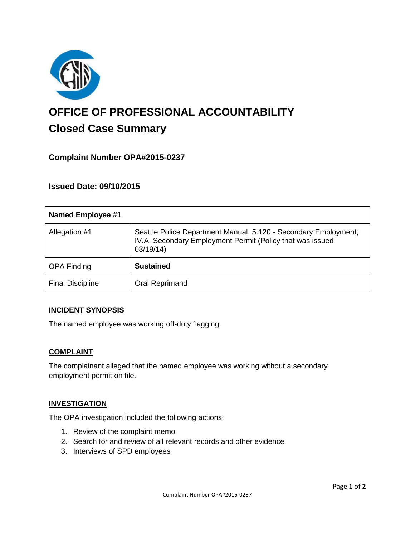

# **OFFICE OF PROFESSIONAL ACCOUNTABILITY Closed Case Summary**

# **Complaint Number OPA#2015-0237**

# **Issued Date: 09/10/2015**

| <b>Named Employee #1</b> |                                                                                                                                         |
|--------------------------|-----------------------------------------------------------------------------------------------------------------------------------------|
| Allegation #1            | Seattle Police Department Manual 5.120 - Secondary Employment;<br>IV.A. Secondary Employment Permit (Policy that was issued<br>03/19/14 |
| <b>OPA Finding</b>       | <b>Sustained</b>                                                                                                                        |
| <b>Final Discipline</b>  | Oral Reprimand                                                                                                                          |

## **INCIDENT SYNOPSIS**

The named employee was working off-duty flagging.

#### **COMPLAINT**

The complainant alleged that the named employee was working without a secondary employment permit on file.

## **INVESTIGATION**

The OPA investigation included the following actions:

- 1. Review of the complaint memo
- 2. Search for and review of all relevant records and other evidence
- 3. Interviews of SPD employees